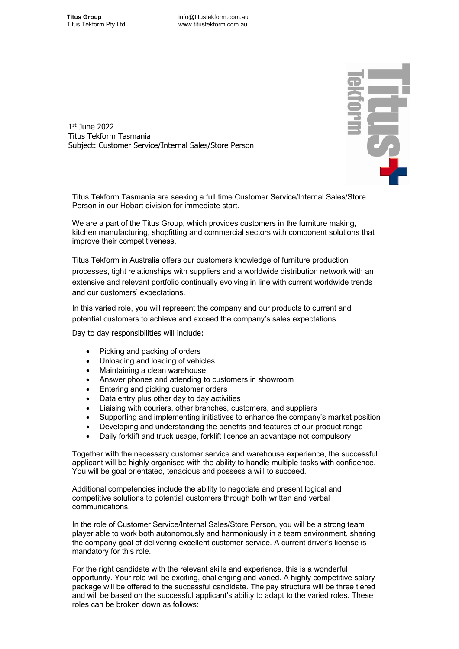

1st June 2022 Titus Tekform Tasmania Subject: Customer Service/Internal Sales/Store Person

Titus Tekform Tasmania are seeking a full time Customer Service/Internal Sales/Store Person in our Hobart division for immediate start.

We are a part of the Titus Group, which provides customers in the furniture making, kitchen manufacturing, shopfitting and commercial sectors with component solutions that improve their competitiveness.

Titus Tekform in Australia offers our customers knowledge of furniture production processes, tight relationships with suppliers and a worldwide distribution network with an extensive and relevant portfolio continually evolving in line with current worldwide trends and our customers' expectations.

In this varied role, you will represent the company and our products to current and potential customers to achieve and exceed the company's sales expectations.

Day to day responsibilities will include:

- Picking and packing of orders
- Unloading and loading of vehicles
- Maintaining a clean warehouse
- Answer phones and attending to customers in showroom
- Entering and picking customer orders
- Data entry plus other day to day activities
- Liaising with couriers, other branches, customers, and suppliers
- Supporting and implementing initiatives to enhance the company's market position
- Developing and understanding the benefits and features of our product range
- Daily forklift and truck usage, forklift licence an advantage not compulsory

Together with the necessary customer service and warehouse experience, the successful applicant will be highly organised with the ability to handle multiple tasks with confidence. You will be goal orientated, tenacious and possess a will to succeed.

Additional competencies include the ability to negotiate and present logical and competitive solutions to potential customers through both written and verbal communications.

In the role of Customer Service/Internal Sales/Store Person, you will be a strong team player able to work both autonomously and harmoniously in a team environment, sharing the company goal of delivering excellent customer service. A current driver's license is mandatory for this role.

For the right candidate with the relevant skills and experience, this is a wonderful opportunity. Your role will be exciting, challenging and varied. A highly competitive salary package will be offered to the successful candidate. The pay structure will be three tiered and will be based on the successful applicant's ability to adapt to the varied roles. These roles can be broken down as follows: